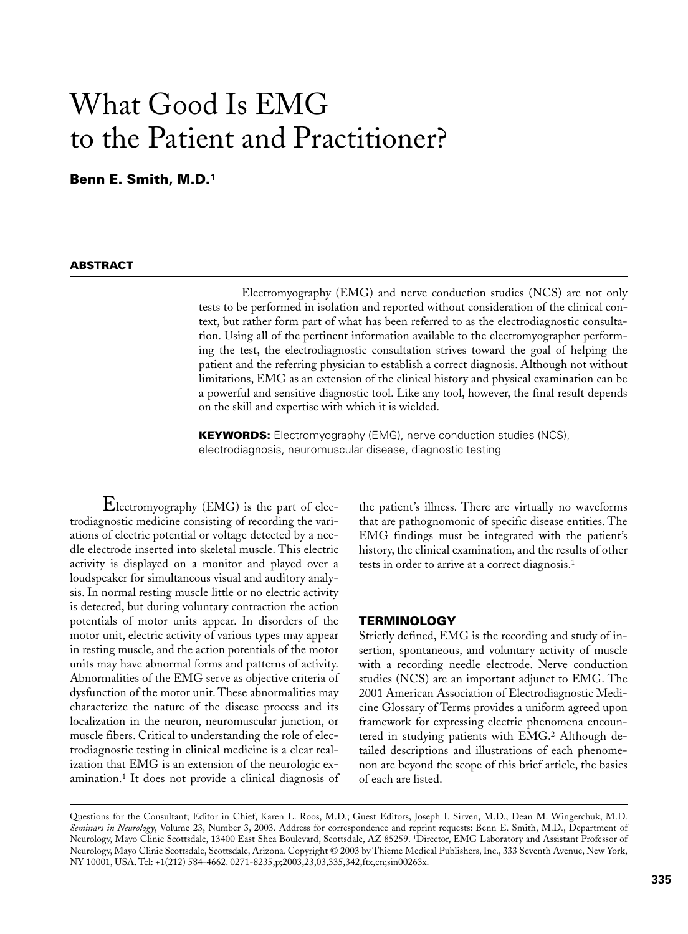# What Good Is EMG to the Patient and Practitioner?

**Benn E. Smith, M.D.1**

## **ABSTRACT**

Electromyography (EMG) and nerve conduction studies (NCS) are not only tests to be performed in isolation and reported without consideration of the clinical context, but rather form part of what has been referred to as the electrodiagnostic consultation. Using all of the pertinent information available to the electromyographer performing the test, the electrodiagnostic consultation strives toward the goal of helping the patient and the referring physician to establish a correct diagnosis. Although not without limitations, EMG as an extension of the clinical history and physical examination can be a powerful and sensitive diagnostic tool. Like any tool, however, the final result depends on the skill and expertise with which it is wielded.

**KEYWORDS:** Electromyography (EMG), nerve conduction studies (NCS), electrodiagnosis, neuromuscular disease, diagnostic testing

Electromyography (EMG) is the part of electrodiagnostic medicine consisting of recording the variations of electric potential or voltage detected by a needle electrode inserted into skeletal muscle. This electric activity is displayed on a monitor and played over a loudspeaker for simultaneous visual and auditory analysis. In normal resting muscle little or no electric activity is detected, but during voluntary contraction the action potentials of motor units appear. In disorders of the motor unit, electric activity of various types may appear in resting muscle, and the action potentials of the motor units may have abnormal forms and patterns of activity. Abnormalities of the EMG serve as objective criteria of dysfunction of the motor unit. These abnormalities may characterize the nature of the disease process and its localization in the neuron, neuromuscular junction, or muscle fibers. Critical to understanding the role of electrodiagnostic testing in clinical medicine is a clear realization that EMG is an extension of the neurologic examination.1 It does not provide a clinical diagnosis of

the patient's illness. There are virtually no waveforms that are pathognomonic of specific disease entities. The EMG findings must be integrated with the patient's history, the clinical examination, and the results of other tests in order to arrive at a correct diagnosis.<sup>1</sup>

# **TERMINOLOGY**

Strictly defined, EMG is the recording and study of insertion, spontaneous, and voluntary activity of muscle with a recording needle electrode. Nerve conduction studies (NCS) are an important adjunct to EMG. The 2001 American Association of Electrodiagnostic Medicine Glossary of Terms provides a uniform agreed upon framework for expressing electric phenomena encountered in studying patients with EMG.2 Although detailed descriptions and illustrations of each phenomenon are beyond the scope of this brief article, the basics of each are listed.

Questions for the Consultant; Editor in Chief, Karen L. Roos, M.D.; Guest Editors, Joseph I. Sirven, M.D., Dean M. Wingerchuk, M.D. *Seminars in Neurology*, Volume 23, Number 3, 2003. Address for correspondence and reprint requests: Benn E. Smith, M.D., Department of Neurology, Mayo Clinic Scottsdale, 13400 East Shea Boulevard, Scottsdale, AZ 85259. 1Director, EMG Laboratory and Assistant Professor of Neurology, Mayo Clinic Scottsdale, Scottsdale, Arizona. Copyright © 2003 by Thieme Medical Publishers, Inc., 333 Seventh Avenue, New York, NY 10001, USA. Tel: +1(212) 584-4662. 0271-8235,p;2003,23,03,335,342,ftx,en;sin00263x.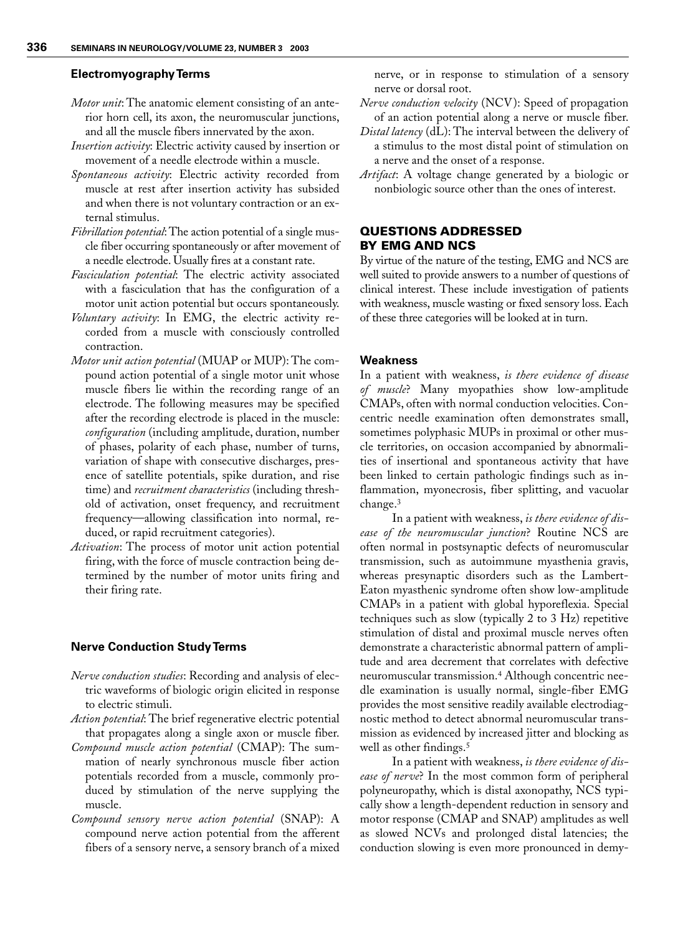#### **Electromyography Terms**

- *Motor unit*: The anatomic element consisting of an anterior horn cell, its axon, the neuromuscular junctions, and all the muscle fibers innervated by the axon.
- *Insertion activity*: Electric activity caused by insertion or movement of a needle electrode within a muscle.
- *Spontaneous activity*: Electric activity recorded from muscle at rest after insertion activity has subsided and when there is not voluntary contraction or an external stimulus.
- *Fibrillation potential*: The action potential of a single muscle fiber occurring spontaneously or after movement of a needle electrode. Usually fires at a constant rate.
- *Fasciculation potential*: The electric activity associated with a fasciculation that has the configuration of a motor unit action potential but occurs spontaneously.
- *Voluntary activity*: In EMG, the electric activity recorded from a muscle with consciously controlled contraction.
- *Motor unit action potential* (MUAP or MUP): The compound action potential of a single motor unit whose muscle fibers lie within the recording range of an electrode. The following measures may be specified after the recording electrode is placed in the muscle: *configuration* (including amplitude, duration, number of phases, polarity of each phase, number of turns, variation of shape with consecutive discharges, presence of satellite potentials, spike duration, and rise time) and *recruitment characteristics* (including threshold of activation, onset frequency, and recruitment frequency—allowing classification into normal, reduced, or rapid recruitment categories).
- *Activation*: The process of motor unit action potential firing, with the force of muscle contraction being determined by the number of motor units firing and their firing rate.

#### **Nerve Conduction Study Terms**

- *Nerve conduction studies*: Recording and analysis of electric waveforms of biologic origin elicited in response to electric stimuli.
- *Action potential*: The brief regenerative electric potential that propagates along a single axon or muscle fiber.
- *Compound muscle action potential* (CMAP): The summation of nearly synchronous muscle fiber action potentials recorded from a muscle, commonly produced by stimulation of the nerve supplying the muscle.
- *Compound sensory nerve action potential* (SNAP): A compound nerve action potential from the afferent fibers of a sensory nerve, a sensory branch of a mixed

nerve, or in response to stimulation of a sensory nerve or dorsal root.

- *Nerve conduction velocity* (NCV): Speed of propagation of an action potential along a nerve or muscle fiber.
- *Distal latency* (dL): The interval between the delivery of a stimulus to the most distal point of stimulation on a nerve and the onset of a response.
- *Artifact*: A voltage change generated by a biologic or nonbiologic source other than the ones of interest.

# **QUESTIONS ADDRESSED BY EMG AND NCS**

By virtue of the nature of the testing, EMG and NCS are well suited to provide answers to a number of questions of clinical interest. These include investigation of patients with weakness, muscle wasting or fixed sensory loss. Each of these three categories will be looked at in turn.

#### **Weakness**

In a patient with weakness, *is there evidence of disease of muscle*? Many myopathies show low-amplitude CMAPs, often with normal conduction velocities. Concentric needle examination often demonstrates small, sometimes polyphasic MUPs in proximal or other muscle territories, on occasion accompanied by abnormalities of insertional and spontaneous activity that have been linked to certain pathologic findings such as inflammation, myonecrosis, fiber splitting, and vacuolar change.3

In a patient with weakness, *is there evidence of disease of the neuromuscular junction*? Routine NCS are often normal in postsynaptic defects of neuromuscular transmission, such as autoimmune myasthenia gravis, whereas presynaptic disorders such as the Lambert-Eaton myasthenic syndrome often show low-amplitude CMAPs in a patient with global hyporeflexia. Special techniques such as slow (typically 2 to 3 Hz) repetitive stimulation of distal and proximal muscle nerves often demonstrate a characteristic abnormal pattern of amplitude and area decrement that correlates with defective neuromuscular transmission.4 Although concentric needle examination is usually normal, single-fiber EMG provides the most sensitive readily available electrodiagnostic method to detect abnormal neuromuscular transmission as evidenced by increased jitter and blocking as well as other findings.<sup>5</sup>

In a patient with weakness, *is there evidence of disease of nerve*? In the most common form of peripheral polyneuropathy, which is distal axonopathy, NCS typically show a length-dependent reduction in sensory and motor response (CMAP and SNAP) amplitudes as well as slowed NCVs and prolonged distal latencies; the conduction slowing is even more pronounced in demy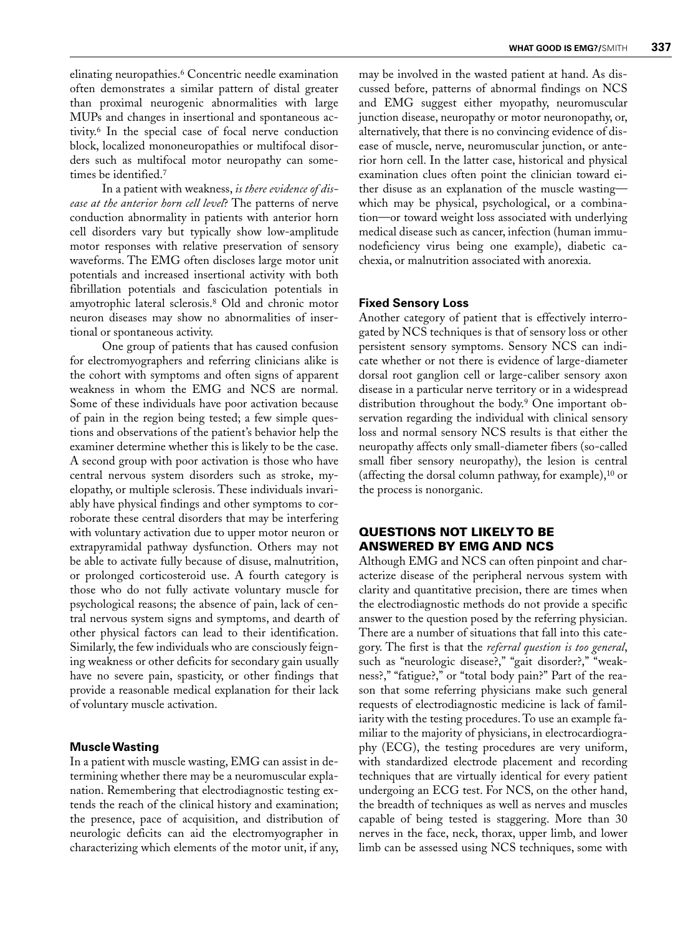elinating neuropathies.<sup>6</sup> Concentric needle examination often demonstrates a similar pattern of distal greater than proximal neurogenic abnormalities with large MUPs and changes in insertional and spontaneous activity.6 In the special case of focal nerve conduction block, localized mononeuropathies or multifocal disorders such as multifocal motor neuropathy can sometimes be identified.7

In a patient with weakness, *is there evidence of disease at the anterior horn cell level*? The patterns of nerve conduction abnormality in patients with anterior horn cell disorders vary but typically show low-amplitude motor responses with relative preservation of sensory waveforms. The EMG often discloses large motor unit potentials and increased insertional activity with both fibrillation potentials and fasciculation potentials in amyotrophic lateral sclerosis.8 Old and chronic motor neuron diseases may show no abnormalities of insertional or spontaneous activity.

One group of patients that has caused confusion for electromyographers and referring clinicians alike is the cohort with symptoms and often signs of apparent weakness in whom the EMG and NCS are normal. Some of these individuals have poor activation because of pain in the region being tested; a few simple questions and observations of the patient's behavior help the examiner determine whether this is likely to be the case. A second group with poor activation is those who have central nervous system disorders such as stroke, myelopathy, or multiple sclerosis. These individuals invariably have physical findings and other symptoms to corroborate these central disorders that may be interfering with voluntary activation due to upper motor neuron or extrapyramidal pathway dysfunction. Others may not be able to activate fully because of disuse, malnutrition, or prolonged corticosteroid use. A fourth category is those who do not fully activate voluntary muscle for psychological reasons; the absence of pain, lack of central nervous system signs and symptoms, and dearth of other physical factors can lead to their identification. Similarly, the few individuals who are consciously feigning weakness or other deficits for secondary gain usually have no severe pain, spasticity, or other findings that provide a reasonable medical explanation for their lack of voluntary muscle activation.

# **Muscle Wasting**

In a patient with muscle wasting, EMG can assist in determining whether there may be a neuromuscular explanation. Remembering that electrodiagnostic testing extends the reach of the clinical history and examination; the presence, pace of acquisition, and distribution of neurologic deficits can aid the electromyographer in characterizing which elements of the motor unit, if any,

may be involved in the wasted patient at hand. As discussed before, patterns of abnormal findings on NCS and EMG suggest either myopathy, neuromuscular junction disease, neuropathy or motor neuronopathy, or, alternatively, that there is no convincing evidence of disease of muscle, nerve, neuromuscular junction, or anterior horn cell. In the latter case, historical and physical examination clues often point the clinician toward either disuse as an explanation of the muscle wasting which may be physical, psychological, or a combination—or toward weight loss associated with underlying medical disease such as cancer, infection (human immunodeficiency virus being one example), diabetic cachexia, or malnutrition associated with anorexia.

# **Fixed Sensory Loss**

Another category of patient that is effectively interrogated by NCS techniques is that of sensory loss or other persistent sensory symptoms. Sensory NCS can indicate whether or not there is evidence of large-diameter dorsal root ganglion cell or large-caliber sensory axon disease in a particular nerve territory or in a widespread distribution throughout the body.9 One important observation regarding the individual with clinical sensory loss and normal sensory NCS results is that either the neuropathy affects only small-diameter fibers (so-called small fiber sensory neuropathy), the lesion is central (affecting the dorsal column pathway, for example), $10$  or the process is nonorganic.

# **QUESTIONS NOT LIKELY TO BE ANSWERED BY EMG AND NCS**

Although EMG and NCS can often pinpoint and characterize disease of the peripheral nervous system with clarity and quantitative precision, there are times when the electrodiagnostic methods do not provide a specific answer to the question posed by the referring physician. There are a number of situations that fall into this category. The first is that the *referral question is too general*, such as "neurologic disease?," "gait disorder?," "weakness?," "fatigue?," or "total body pain?" Part of the reason that some referring physicians make such general requests of electrodiagnostic medicine is lack of familiarity with the testing procedures. To use an example familiar to the majority of physicians, in electrocardiography (ECG), the testing procedures are very uniform, with standardized electrode placement and recording techniques that are virtually identical for every patient undergoing an ECG test. For NCS, on the other hand, the breadth of techniques as well as nerves and muscles capable of being tested is staggering. More than 30 nerves in the face, neck, thorax, upper limb, and lower limb can be assessed using NCS techniques, some with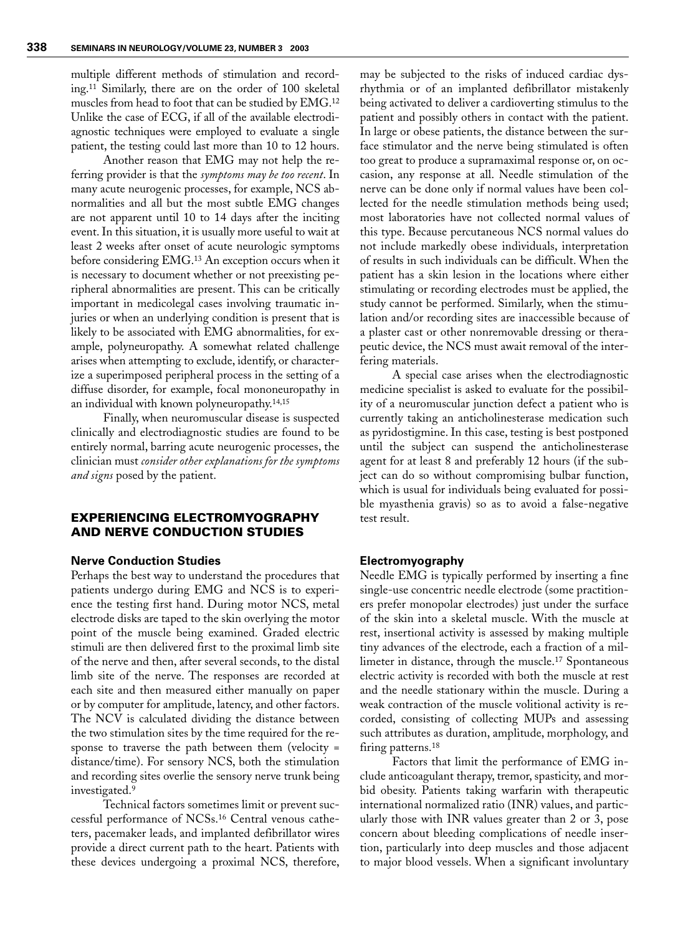multiple different methods of stimulation and recording.11 Similarly, there are on the order of 100 skeletal muscles from head to foot that can be studied by EMG.12 Unlike the case of ECG, if all of the available electrodiagnostic techniques were employed to evaluate a single patient, the testing could last more than 10 to 12 hours.

Another reason that EMG may not help the referring provider is that the *symptoms may be too recent*. In many acute neurogenic processes, for example, NCS abnormalities and all but the most subtle EMG changes are not apparent until 10 to 14 days after the inciting event. In this situation, it is usually more useful to wait at least 2 weeks after onset of acute neurologic symptoms before considering EMG.13 An exception occurs when it is necessary to document whether or not preexisting peripheral abnormalities are present. This can be critically important in medicolegal cases involving traumatic injuries or when an underlying condition is present that is likely to be associated with EMG abnormalities, for example, polyneuropathy. A somewhat related challenge arises when attempting to exclude, identify, or characterize a superimposed peripheral process in the setting of a diffuse disorder, for example, focal mononeuropathy in an individual with known polyneuropathy.14,15

Finally, when neuromuscular disease is suspected clinically and electrodiagnostic studies are found to be entirely normal, barring acute neurogenic processes, the clinician must *consider other explanations for the symptoms and signs* posed by the patient.

# **EXPERIENCING ELECTROMYOGRAPHY AND NERVE CONDUCTION STUDIES**

#### **Nerve Conduction Studies**

Perhaps the best way to understand the procedures that patients undergo during EMG and NCS is to experience the testing first hand. During motor NCS, metal electrode disks are taped to the skin overlying the motor point of the muscle being examined. Graded electric stimuli are then delivered first to the proximal limb site of the nerve and then, after several seconds, to the distal limb site of the nerve. The responses are recorded at each site and then measured either manually on paper or by computer for amplitude, latency, and other factors. The NCV is calculated dividing the distance between the two stimulation sites by the time required for the response to traverse the path between them (velocity = distance/time). For sensory NCS, both the stimulation and recording sites overlie the sensory nerve trunk being investigated.9

Technical factors sometimes limit or prevent successful performance of NCSs.16 Central venous catheters, pacemaker leads, and implanted defibrillator wires provide a direct current path to the heart. Patients with these devices undergoing a proximal NCS, therefore,

may be subjected to the risks of induced cardiac dysrhythmia or of an implanted defibrillator mistakenly being activated to deliver a cardioverting stimulus to the patient and possibly others in contact with the patient. In large or obese patients, the distance between the surface stimulator and the nerve being stimulated is often too great to produce a supramaximal response or, on occasion, any response at all. Needle stimulation of the nerve can be done only if normal values have been collected for the needle stimulation methods being used; most laboratories have not collected normal values of this type. Because percutaneous NCS normal values do not include markedly obese individuals, interpretation of results in such individuals can be difficult. When the patient has a skin lesion in the locations where either stimulating or recording electrodes must be applied, the study cannot be performed. Similarly, when the stimulation and/or recording sites are inaccessible because of a plaster cast or other nonremovable dressing or therapeutic device, the NCS must await removal of the interfering materials.

A special case arises when the electrodiagnostic medicine specialist is asked to evaluate for the possibility of a neuromuscular junction defect a patient who is currently taking an anticholinesterase medication such as pyridostigmine. In this case, testing is best postponed until the subject can suspend the anticholinesterase agent for at least 8 and preferably 12 hours (if the subject can do so without compromising bulbar function, which is usual for individuals being evaluated for possible myasthenia gravis) so as to avoid a false-negative test result.

# **Electromyography**

Needle EMG is typically performed by inserting a fine single-use concentric needle electrode (some practitioners prefer monopolar electrodes) just under the surface of the skin into a skeletal muscle. With the muscle at rest, insertional activity is assessed by making multiple tiny advances of the electrode, each a fraction of a millimeter in distance, through the muscle.17 Spontaneous electric activity is recorded with both the muscle at rest and the needle stationary within the muscle. During a weak contraction of the muscle volitional activity is recorded, consisting of collecting MUPs and assessing such attributes as duration, amplitude, morphology, and firing patterns.<sup>18</sup>

Factors that limit the performance of EMG include anticoagulant therapy, tremor, spasticity, and morbid obesity. Patients taking warfarin with therapeutic international normalized ratio (INR) values, and particularly those with INR values greater than 2 or 3, pose concern about bleeding complications of needle insertion, particularly into deep muscles and those adjacent to major blood vessels. When a significant involuntary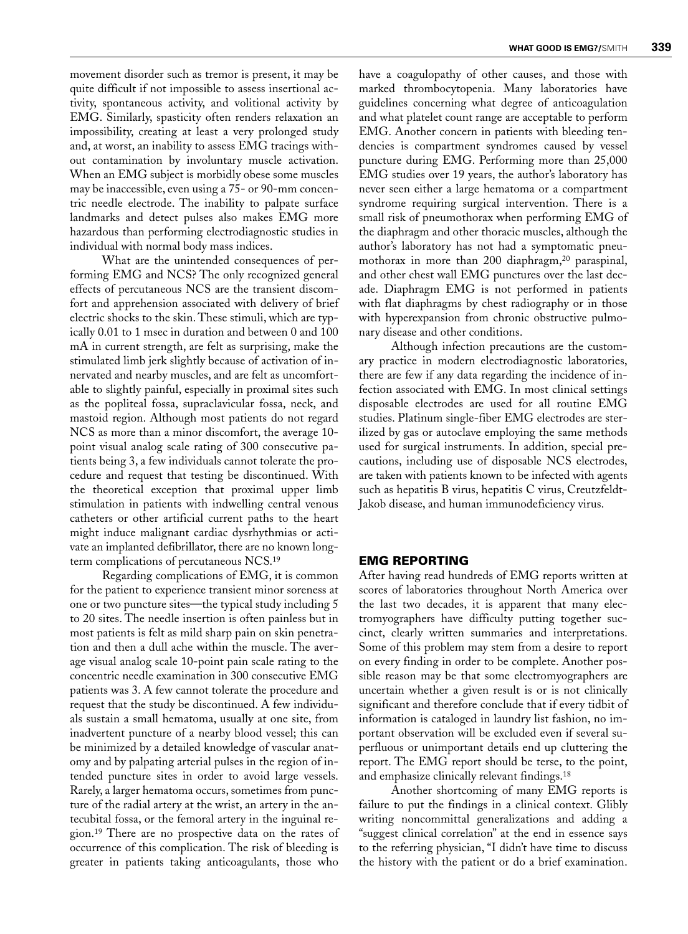movement disorder such as tremor is present, it may be quite difficult if not impossible to assess insertional activity, spontaneous activity, and volitional activity by EMG. Similarly, spasticity often renders relaxation an impossibility, creating at least a very prolonged study and, at worst, an inability to assess EMG tracings without contamination by involuntary muscle activation. When an EMG subject is morbidly obese some muscles may be inaccessible, even using a 75- or 90-mm concentric needle electrode. The inability to palpate surface landmarks and detect pulses also makes EMG more hazardous than performing electrodiagnostic studies in individual with normal body mass indices.

What are the unintended consequences of performing EMG and NCS? The only recognized general effects of percutaneous NCS are the transient discomfort and apprehension associated with delivery of brief electric shocks to the skin. These stimuli, which are typically 0.01 to 1 msec in duration and between 0 and 100 mA in current strength, are felt as surprising, make the stimulated limb jerk slightly because of activation of innervated and nearby muscles, and are felt as uncomfortable to slightly painful, especially in proximal sites such as the popliteal fossa, supraclavicular fossa, neck, and mastoid region. Although most patients do not regard NCS as more than a minor discomfort, the average 10 point visual analog scale rating of 300 consecutive patients being 3, a few individuals cannot tolerate the procedure and request that testing be discontinued. With the theoretical exception that proximal upper limb stimulation in patients with indwelling central venous catheters or other artificial current paths to the heart might induce malignant cardiac dysrhythmias or activate an implanted defibrillator, there are no known longterm complications of percutaneous NCS.19

Regarding complications of EMG, it is common for the patient to experience transient minor soreness at one or two puncture sites—the typical study including 5 to 20 sites. The needle insertion is often painless but in most patients is felt as mild sharp pain on skin penetration and then a dull ache within the muscle. The average visual analog scale 10-point pain scale rating to the concentric needle examination in 300 consecutive EMG patients was 3. A few cannot tolerate the procedure and request that the study be discontinued. A few individuals sustain a small hematoma, usually at one site, from inadvertent puncture of a nearby blood vessel; this can be minimized by a detailed knowledge of vascular anatomy and by palpating arterial pulses in the region of intended puncture sites in order to avoid large vessels. Rarely, a larger hematoma occurs, sometimes from puncture of the radial artery at the wrist, an artery in the antecubital fossa, or the femoral artery in the inguinal region.19 There are no prospective data on the rates of occurrence of this complication. The risk of bleeding is greater in patients taking anticoagulants, those who

have a coagulopathy of other causes, and those with marked thrombocytopenia. Many laboratories have guidelines concerning what degree of anticoagulation and what platelet count range are acceptable to perform EMG. Another concern in patients with bleeding tendencies is compartment syndromes caused by vessel puncture during EMG. Performing more than 25,000 EMG studies over 19 years, the author's laboratory has never seen either a large hematoma or a compartment syndrome requiring surgical intervention. There is a small risk of pneumothorax when performing EMG of the diaphragm and other thoracic muscles, although the author's laboratory has not had a symptomatic pneumothorax in more than 200 diaphragm,<sup>20</sup> paraspinal, and other chest wall EMG punctures over the last decade. Diaphragm EMG is not performed in patients with flat diaphragms by chest radiography or in those with hyperexpansion from chronic obstructive pulmonary disease and other conditions.

Although infection precautions are the customary practice in modern electrodiagnostic laboratories, there are few if any data regarding the incidence of infection associated with EMG. In most clinical settings disposable electrodes are used for all routine EMG studies. Platinum single-fiber EMG electrodes are sterilized by gas or autoclave employing the same methods used for surgical instruments. In addition, special precautions, including use of disposable NCS electrodes, are taken with patients known to be infected with agents such as hepatitis B virus, hepatitis C virus, Creutzfeldt-Jakob disease, and human immunodeficiency virus.

#### **EMG REPORTING**

After having read hundreds of EMG reports written at scores of laboratories throughout North America over the last two decades, it is apparent that many electromyographers have difficulty putting together succinct, clearly written summaries and interpretations. Some of this problem may stem from a desire to report on every finding in order to be complete. Another possible reason may be that some electromyographers are uncertain whether a given result is or is not clinically significant and therefore conclude that if every tidbit of information is cataloged in laundry list fashion, no important observation will be excluded even if several superfluous or unimportant details end up cluttering the report. The EMG report should be terse, to the point, and emphasize clinically relevant findings.18

Another shortcoming of many EMG reports is failure to put the findings in a clinical context. Glibly writing noncommittal generalizations and adding a "suggest clinical correlation" at the end in essence says to the referring physician, "I didn't have time to discuss the history with the patient or do a brief examination.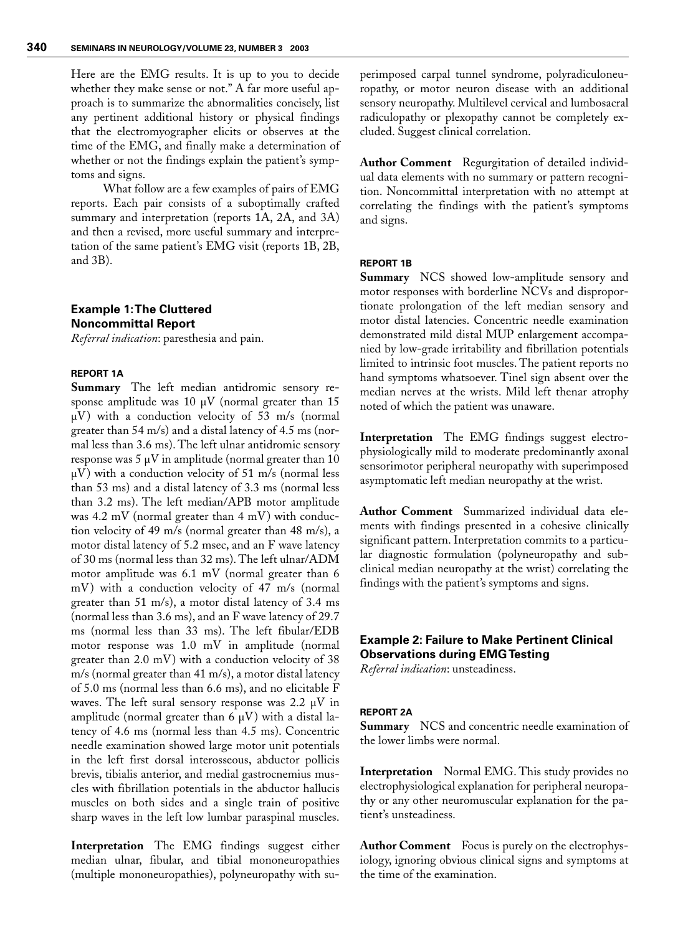Here are the EMG results. It is up to you to decide whether they make sense or not." A far more useful approach is to summarize the abnormalities concisely, list any pertinent additional history or physical findings that the electromyographer elicits or observes at the time of the EMG, and finally make a determination of whether or not the findings explain the patient's symptoms and signs.

What follow are a few examples of pairs of EMG reports. Each pair consists of a suboptimally crafted summary and interpretation (reports 1A, 2A, and 3A) and then a revised, more useful summary and interpretation of the same patient's EMG visit (reports 1B, 2B, and 3B).

# **Example 1:The Cluttered Noncommittal Report**

*Referral indication*: paresthesia and pain.

#### **REPORT 1A**

**Summary** The left median antidromic sensory response amplitude was 10  $\mu$ V (normal greater than 15  $\mu$ V) with a conduction velocity of 53 m/s (normal greater than 54 m/s) and a distal latency of 4.5 ms (normal less than 3.6 ms). The left ulnar antidromic sensory response was 5  $\mu$ V in amplitude (normal greater than 10  $\mu$ V) with a conduction velocity of 51 m/s (normal less than 53 ms) and a distal latency of 3.3 ms (normal less than 3.2 ms). The left median/APB motor amplitude was 4.2 mV (normal greater than 4 mV) with conduction velocity of 49 m/s (normal greater than 48 m/s), a motor distal latency of 5.2 msec, and an F wave latency of 30 ms (normal less than 32 ms). The left ulnar/ADM motor amplitude was 6.1 mV (normal greater than 6 mV) with a conduction velocity of 47 m/s (normal greater than 51 m/s), a motor distal latency of 3.4 ms (normal less than 3.6 ms), and an F wave latency of 29.7 ms (normal less than 33 ms). The left fibular/EDB motor response was 1.0 mV in amplitude (normal greater than 2.0 mV) with a conduction velocity of 38 m/s (normal greater than 41 m/s), a motor distal latency of 5.0 ms (normal less than 6.6 ms), and no elicitable F waves. The left sural sensory response was 2.2  $\mu$ V in amplitude (normal greater than 6  $\mu$ V) with a distal latency of 4.6 ms (normal less than 4.5 ms). Concentric needle examination showed large motor unit potentials in the left first dorsal interosseous, abductor pollicis brevis, tibialis anterior, and medial gastrocnemius muscles with fibrillation potentials in the abductor hallucis muscles on both sides and a single train of positive sharp waves in the left low lumbar paraspinal muscles.

**Interpretation** The EMG findings suggest either median ulnar, fibular, and tibial mononeuropathies (multiple mononeuropathies), polyneuropathy with superimposed carpal tunnel syndrome, polyradiculoneuropathy, or motor neuron disease with an additional sensory neuropathy. Multilevel cervical and lumbosacral radiculopathy or plexopathy cannot be completely excluded. Suggest clinical correlation.

**Author Comment** Regurgitation of detailed individual data elements with no summary or pattern recognition. Noncommittal interpretation with no attempt at correlating the findings with the patient's symptoms and signs.

#### **REPORT 1B**

**Summary** NCS showed low-amplitude sensory and motor responses with borderline NCVs and disproportionate prolongation of the left median sensory and motor distal latencies. Concentric needle examination demonstrated mild distal MUP enlargement accompanied by low-grade irritability and fibrillation potentials limited to intrinsic foot muscles. The patient reports no hand symptoms whatsoever. Tinel sign absent over the median nerves at the wrists. Mild left thenar atrophy noted of which the patient was unaware.

**Interpretation** The EMG findings suggest electrophysiologically mild to moderate predominantly axonal sensorimotor peripheral neuropathy with superimposed asymptomatic left median neuropathy at the wrist.

**Author Comment** Summarized individual data elements with findings presented in a cohesive clinically significant pattern. Interpretation commits to a particular diagnostic formulation (polyneuropathy and subclinical median neuropathy at the wrist) correlating the findings with the patient's symptoms and signs.

# **Example 2: Failure to Make Pertinent Clinical Observations during EMG Testing**

*Referral indication*: unsteadiness.

# **REPORT 2A**

**Summary** NCS and concentric needle examination of the lower limbs were normal.

**Interpretation** Normal EMG. This study provides no electrophysiological explanation for peripheral neuropathy or any other neuromuscular explanation for the patient's unsteadiness.

**Author Comment** Focus is purely on the electrophysiology, ignoring obvious clinical signs and symptoms at the time of the examination.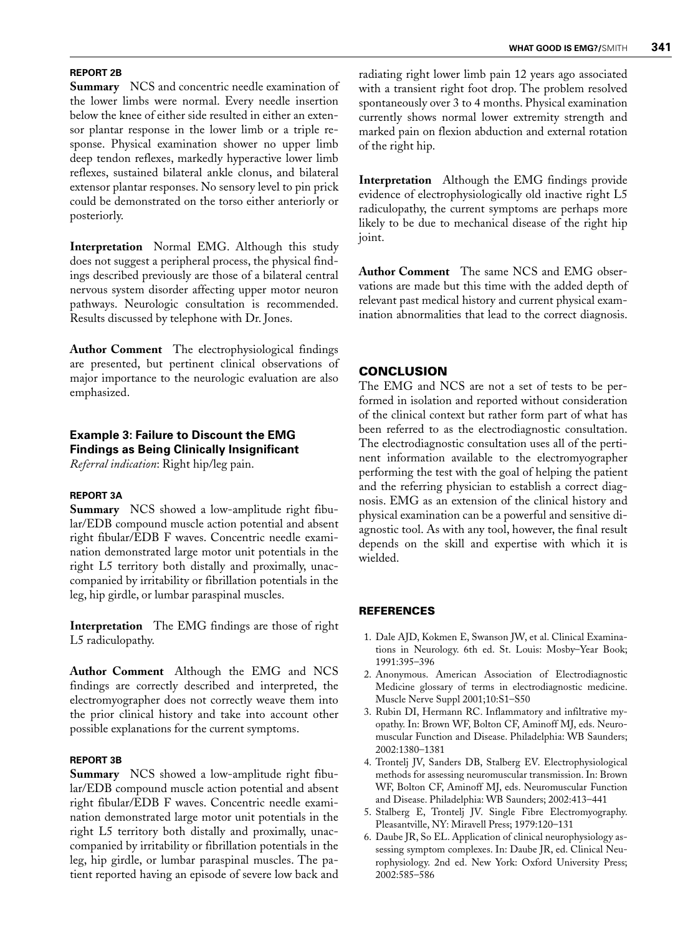#### **REPORT 2B**

**Summary** NCS and concentric needle examination of the lower limbs were normal. Every needle insertion below the knee of either side resulted in either an extensor plantar response in the lower limb or a triple response. Physical examination shower no upper limb deep tendon reflexes, markedly hyperactive lower limb reflexes, sustained bilateral ankle clonus, and bilateral extensor plantar responses. No sensory level to pin prick could be demonstrated on the torso either anteriorly or posteriorly.

**Interpretation** Normal EMG. Although this study does not suggest a peripheral process, the physical findings described previously are those of a bilateral central nervous system disorder affecting upper motor neuron pathways. Neurologic consultation is recommended. Results discussed by telephone with Dr. Jones.

**Author Comment** The electrophysiological findings are presented, but pertinent clinical observations of major importance to the neurologic evaluation are also emphasized.

# **Example 3: Failure to Discount the EMG Findings as Being Clinically Insignificant**

*Referral indication*: Right hip/leg pain.

#### **REPORT 3A**

**Summary** NCS showed a low-amplitude right fibular/EDB compound muscle action potential and absent right fibular/EDB F waves. Concentric needle examination demonstrated large motor unit potentials in the right L5 territory both distally and proximally, unaccompanied by irritability or fibrillation potentials in the leg, hip girdle, or lumbar paraspinal muscles.

**Interpretation** The EMG findings are those of right L5 radiculopathy.

**Author Comment** Although the EMG and NCS findings are correctly described and interpreted, the electromyographer does not correctly weave them into the prior clinical history and take into account other possible explanations for the current symptoms.

#### **REPORT 3B**

**Summary** NCS showed a low-amplitude right fibular/EDB compound muscle action potential and absent right fibular/EDB F waves. Concentric needle examination demonstrated large motor unit potentials in the right L5 territory both distally and proximally, unaccompanied by irritability or fibrillation potentials in the leg, hip girdle, or lumbar paraspinal muscles. The patient reported having an episode of severe low back and

radiating right lower limb pain 12 years ago associated with a transient right foot drop. The problem resolved spontaneously over 3 to 4 months. Physical examination currently shows normal lower extremity strength and marked pain on flexion abduction and external rotation of the right hip.

**Interpretation** Although the EMG findings provide evidence of electrophysiologically old inactive right L5 radiculopathy, the current symptoms are perhaps more likely to be due to mechanical disease of the right hip joint.

**Author Comment** The same NCS and EMG observations are made but this time with the added depth of relevant past medical history and current physical examination abnormalities that lead to the correct diagnosis.

# **CONCLUSION**

The EMG and NCS are not a set of tests to be performed in isolation and reported without consideration of the clinical context but rather form part of what has been referred to as the electrodiagnostic consultation. The electrodiagnostic consultation uses all of the pertinent information available to the electromyographer performing the test with the goal of helping the patient and the referring physician to establish a correct diagnosis. EMG as an extension of the clinical history and physical examination can be a powerful and sensitive diagnostic tool. As with any tool, however, the final result depends on the skill and expertise with which it is wielded.

#### **REFERENCES**

- 1. Dale AJD, Kokmen E, Swanson JW, et al. Clinical Examinations in Neurology. 6th ed. St. Louis: Mosby–Year Book; 1991:395–396
- 2. Anonymous. American Association of Electrodiagnostic Medicine glossary of terms in electrodiagnostic medicine. Muscle Nerve Suppl 2001;10:S1–S50
- 3. Rubin DI, Hermann RC. Inflammatory and infiltrative myopathy. In: Brown WF, Bolton CF, Aminoff MJ, eds. Neuromuscular Function and Disease. Philadelphia: WB Saunders; 2002:1380–1381
- 4. Trontelj JV, Sanders DB, Stalberg EV. Electrophysiological methods for assessing neuromuscular transmission. In: Brown WF, Bolton CF, Aminoff MJ, eds. Neuromuscular Function and Disease. Philadelphia: WB Saunders; 2002:413–441
- 5. Stalberg E, Trontelj JV. Single Fibre Electromyography. Pleasantville, NY: Miravell Press; 1979:120–131
- 6. Daube JR, So EL. Application of clinical neurophysiology assessing symptom complexes. In: Daube JR, ed. Clinical Neurophysiology. 2nd ed. New York: Oxford University Press; 2002:585–586